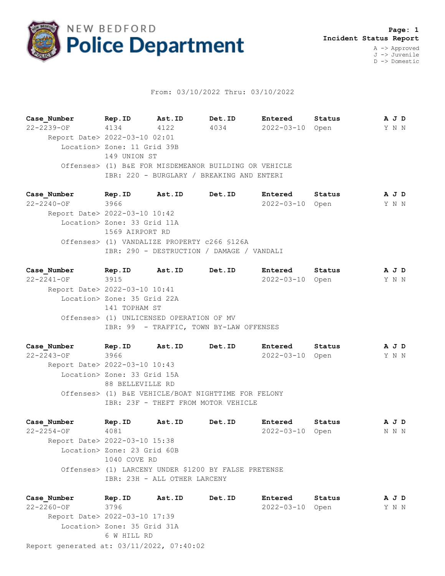

## From: 03/10/2022 Thru: 03/10/2022

**Case\_Number Rep.ID Ast.ID Det.ID Entered Status A J D** 22-2239-OF 4134 4122 4034 2022-03-10 Open Y N N Report Date> 2022-03-10 02:01 Location> Zone: 11 Grid 39B 149 UNION ST Offenses> (1) B&E FOR MISDEMEANOR BUILDING OR VEHICLE IBR: 220 - BURGLARY / BREAKING AND ENTERI

**Case\_Number Rep.ID Ast.ID Det.ID Entered Status A J D** 22-2240-OF 3966 2022-03-10 Open Y N N Report Date> 2022-03-10 10:42 Location> Zone: 33 Grid 11A 1569 AIRPORT RD Offenses> (1) VANDALIZE PROPERTY c266 §126A IBR: 290 - DESTRUCTION / DAMAGE / VANDALI

**Case\_Number Rep.ID Ast.ID Det.ID Entered Status A J D** 22-2241-OF 3915 2022-03-10 Open Y N N Report Date> 2022-03-10 10:41 Location> Zone: 35 Grid 22A 141 TOPHAM ST Offenses> (1) UNLICENSED OPERATION OF MV IBR: 99 - TRAFFIC, TOWN BY-LAW OFFENSES

**Case\_Number Rep.ID Ast.ID Det.ID Entered Status A J D** 22-2243-OF 3966 2022-03-10 Open Y N N Report Date> 2022-03-10 10:43 Location> Zone: 33 Grid 15A 88 BELLEVILLE RD Offenses> (1) B&E VEHICLE/BOAT NIGHTTIME FOR FELONY IBR: 23F - THEFT FROM MOTOR VEHICLE

**Case\_Number Rep.ID Ast.ID Det.ID Entered Status A J D** 22-2254-OF 4081 2022-03-10 Open N N N Report Date> 2022-03-10 15:38 Location> Zone: 23 Grid 60B 1040 COVE RD Offenses> (1) LARCENY UNDER \$1200 BY FALSE PRETENSE IBR: 23H - ALL OTHER LARCENY

Report generated at: 03/11/2022, 07:40:02 **Case\_Number Rep.ID Ast.ID Det.ID Entered Status A J D** 22-2260-OF 3796 2022-03-10 Open Y N N Report Date> 2022-03-10 17:39 Location> Zone: 35 Grid 31A 6 W HILL RD